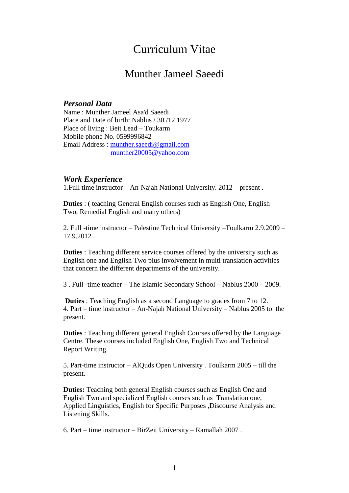# Curriculum Vitae

## Munther Jameel Saeedi

#### *Personal Data*

Name : Munther Jameel Asa'd Saeedi Place and Date of birth: Nablus / 30 /12 1977 Place of living : Beit Lead – Toukarm Mobile phone No. 0599996842 Email Address : [munther.saeedi@gmail.com](mailto:munther.saeedi@gmail.com) [munther20005@yahoo.com](mailto:munther20005@yahoo.com)

#### *Work Experience*

1.Full time instructor – An-Najah National University. 2012 – present .

**Duties** : ( teaching General English courses such as English One, English Two, Remedial English and many others)

2. Full -time instructor – Palestine Technical University –Toulkarm 2.9.2009 – 17.9.2012 .

**Duties** : Teaching different service courses offered by the university such as English one and English Two plus involvement in multi translation activities that concern the different departments of the university.

3 . Full -time teacher – The Islamic Secondary School – Nablus 2000 – 2009.

**Duties** : Teaching English as a second Language to grades from 7 to 12. 4. Part – time instructor – An-Najah National University – Nablus 2005 to the present.

**Duties** : Teaching different general English Courses offered by the Language Centre. These courses included English One, English Two and Technical Report Writing.

5. Part-time instructor – AlQuds Open University . Toulkarm 2005 – till the present.

**Duties:** Teaching both general English courses such as English One and English Two and specialized English courses such as Translation one, Applied Linguistics, English for Specific Purposes ,Discourse Analysis and Listening Skills.

6. Part – time instructor – BirZeit University – Ramallah 2007 .